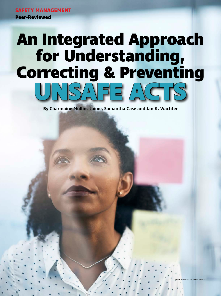**SAFETY MANAGEMENT Peer-Reviewed**

**20 PSJ PROFESSIONAL SAFETY FEBRUARY 2021 assp.org**

# **An Integrated Approach for Understanding, Correcting & Preventing UNSAFE ACTS**

**By Charmaine Mullins-Jaime, Samantha Case and Jan K. Wachter**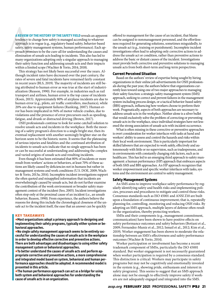**A REVIEW OF**<br>tendency to<br>approach is is<br>safety, safety<br>proach prom<br>elimination<br>many organ **A REVIEW OF THE HISTORY OF THE SAFETY FIELD** reveals an apparent tendency to change how safety is managed according to whatever approach is in vogue (e.g., regulatory-based safety, behavior-based safety, safety management systems, human performance). Each approach promises to be the cure-all for understanding the causes and elimination of unsafe acts leading to incidents. This also has led to many organizations adopting only a singular approach to managing their safety function and addressing unsafe acts and their impacts within a limited scope (Wachter & Yorio, 2014; 2018).

This strategy has not likely been successful over the years. Although incident rates have decreased over the past century, the rates of severe and fatal incidents have remained fairly constant in recent years (BLS, 2019). The majority of incidents are still being attributed to human error as was true at the start of industrialization (Reason, 1990). For example, in industries such as rail transport and airlines, human error is the top cause of incidents (Koen, 2015). Approximately 80% of airplane incidents are due to human error (e.g., pilots, air traffic controllers, mechanics), while 20% are due to equipment failures (Ranking, 2007). Human error has been implicated in 94% of motor vehicle crashes, due to violations and the presence of error precursors such as speeding, fatigue, and drunk or distracted driving (Brown, 2017).

OSH professionals continue to look for some catchall solution to resolve unsafe acts and incidents in the workplace. Both the mooring of a safety program's direction to a single bright star, then its eventual replacement with another seemingly brighter star on the horizon seem to be the historic norm. It seems that the plateauing of serious injuries and fatalities and the continued attribution of incidents to unsafe acts indicate that no single approach has been or can be successful at understanding and addressing the complex and varied origins of unsafe acts and resulting incidents.

Even though it has been estimated that 80% of incidents or more result from workers' actions or behaviors, at least 70% of these actions are likely caused by deficiencies not in humans but rather in management systems and work conditions (U.S. DOE, 2009; Wachter & Yorio, 2013a; 2014). Incomplete incident investigations support the often quoted and misapplied information that incidents are overwhelmingly caused by unsafe acts, but do not further examine the contribution of the work environment or broader safety management context of the incident (Seo, 2005). Incident investigations often stop only at the proximal cause of an incident (i.e., an unsafe behavior; Reason, 1990). From experience, the authors believe the reasons for doing this include the chronological closeness of the unsafe act to the incident itself, the ease that an answer can be quickly

#### **KEY TAKEAWAYS**

**•Most organizations adopt a primary approach to designing and implementing their safety programs, typically either system or behavioral approaches.**

**•No single safety management approach seems to be entirely successful for understanding the causes of unsafe acts in the workplace in order to develop effective corrective and preventive actions. There are both advantages and disadvantages to using either safety management system or behavioral approaches.**

**•To better understand the causes of unsafe acts and perform appropriate corrective and preventive actions, a more comprehensive and integrated model based on system, behavioral and human performance approaches should be adopted. A recommended model is presented in this article.**

**•The human performance approach can act as a bridge for using both system and behavioral approaches for understanding the cause of unsafe acts in an organization.**

offered to management for the cause of an incident, that blame can be assigned to nonmanagement personnel, and the effortlessness required for generating solutions, sometimes misguidedly, to the unsafe act (e.g., training or punishment). Incomplete incident investigations often lead to adopting only corrective actions to address the unsafe act or condition, rather than preventive actions to address the basic or distant causes of the incident. Investigations must provide both corrective and preventive solutions to managing unsafe acts from both short-term and long-term perspectives.

#### **Current Perceived Situation**

Based on the authors' review of expertise being sought by hiring organizations in their online job advertisements for OSH professionals during the past year, the authors believe that organizations currently lean toward using one of two major approaches to managing their safety function: a strategic safety management system (SMS) approach, seeking to correct and prevent failures in the management system including process design, or a tactical behavior-based safety (BBS) approach, influencing how workers choose to perform their work. Pragmatically, aspects of both approaches are necessary to address unsafe acts in the workplace. Neither alone is a silver bullet that would exclusively solve the problem of correcting or preventing unsafe acts in the workplace, since individual strategies have not lessened the strong association of unsafe acts with incident occurrence.

What is often missing in these corrective or preventive approaches is overt consideration for worker interfaces with tasks at hand and workers' ability to assess and control the hazards and risks within their local work environment. This is particularly important for skilled laborers that are expected to work safely, effectively and autonomously with little or no supervision, such as tradespersons, and in environments with constantly changing risk factors, such as in healthcare. This has led to an emerging third approach to safety management: a human performance (HP) approach that embraces aspects of both SMS and BBS approaches. An HP approach recognizes that worker empowerment and specific worker interfaces with tasks, systems and the environment are central to safety management.

## **Safety Management Systems**

An SMS aims to improve workplace safety performance by regularly identifying safety and health risks and implementing policies, processes and procedures to mitigate and control those risks. Consensus standards such as ISO 45001 and ANSI Z10 are built upon a foundation of continuous improvement; that is, repeatedly planning for, controlling, monitoring and reducing OSH risks. By adopting an SMS approach, multiple layers of defense often result in the organization, thereby protecting workers.

SMSs and their components (e.g., management commitment, communication) have been shown to have positive effects on safety performance outcomes and safety behaviors (Bottani et al., 2009; Fernandez-Muniz et al., 2012; Ismail et al., 2012; Kim et al., 2019). Worker engagement has been shown to moderate the relationship between an SMS's effectiveness and safety performance outcomes (Wachter & Yorio, 2014).

Worker participation or involvement has become a recent trademark component of SMSs, particularly the ISO 45001 standard. But worker engagement is not necessarily guaranteed when worker participation is required by a consensus standard. This distinction is critical: Workers may participate in safety programs but may not be cognitively and emotionally invested in the system (e.g., showing pride, enthusiasm and interest in safety programs). This seems to suggest that an SMS approach alone may not be enough to effectively improve safety if workers are not adequately engaged and integrated into the SMS.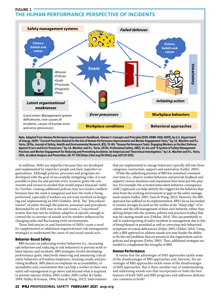# **FIGURE 1 THE HUMAN PERFORMANCE PERSPECTIVE OF INCIDENTS**



**Note. Adapted from Human Performance Improvement Handbook, Volume 1: Concepts and Principles (DOE-HDBK-1028-2009), by U.S. Department of Energy, 2009; "Current Practices Related to the Use of Human Performance Improvement and Worker Engagement Tools," by J.K. Wachter and P.L. Yorio, 2013a, Journal of Safety, Health and Environmental Research, 8(3), 70-80; "Human Performance Tools: Engaging Workers as the Best Defense Against Errors and Error Precursors," by J.K. Wachter and P.L. Yorio, 2013b, Professional Safety, 68(2), 54-64; and "A System of Safety Management Practices and Worker Engagement for Reducing and Preventing Accidents: An Empirical and Theoretical Investigation," by J.K. Wachter and P.L. Yorio, 2014, Accident Analysis and Prevention, 68, 117-130 (https://doi.org/10.1016/j.aap.2013.07.029).**

In addition, SMSs are imperfect because they are developed and implemented by imperfect people and their imperfect organizations. Although policies, processes and programs are developed with the goal of successfully mitigating risks, it is not possible to plan for and prevent every scenario given the constraints and resources needed that would impact financial viability. Further, creating additional policies may not resolve conflicts between how the work is imagined and how the work is being performed, especially if workers are not truly involved in designing and implementing an SMS (Dekker, 2014). The "proceduralization" of safety through the policies, processes and procedures demanded by an SMS may in the end create a "concretized" system that may not be resilient, adaptive or specific enough to control the occurrence of unsafe acts by workers influenced by changing tasks and fluctuating work environments.

These deficiencies in and limitations of SMSs create a need for supplemental or additional organizational risk management strategies to understand the cause of and avoid unsafe acts.

# **Behavior-Based Safety**

BBS focuses on addressing worker behaviors (i.e., increasing safe behaviors and reducing at-risk behaviors) to prevent work-related injuries and incidents. BBS strategies involve developing performance goals, objectively observing and measuring critical safety behaviors of frontline employees, tracking results and providing feedback. BBS places an emphasis on accountability, responsibility and commitment that can help a worker in their own safety self-management to go above and beyond what is required to prevent injuries (DeJoy, 2005; Geller, 2005; Geller & Clarke, 1999; Hidley & Krause, 1994; Yuan & Wang, 2012). Interventions

that are implemented to change behaviors typically fall into three categories: instruction, support and motivation (Geller, 2005).

While the underlying premise of BBS has remained consistent over time (i.e., observe worker behaviors and provide feedback and support) various iterations and expansions have been put into practice. For example, the activator/antecedent-behavior-consequence (ABC) approach can help identify the triggers for the behavior that stem from the working environment or gaps in the safety management system (Geller, 2005; Yuan & Wang, 2012). However, the BBS approach has suffered in its implementation. BBS's focus has tended to remain strongly focused on the worker at the "sharp edge" of incidents and the self-management of their own behavior, rather than delving deeper into the systems, policies and practices in place that may be causing unsafe acts (Dekker, 2014). This can potentially result in underreporting of safety incidents to management due to fear of being blamed or punished as well as correcting only behavioral symptoms of system deficiencies (DeJoy, 2005; Dekker, 2014). Using only a BBS approach to address unsafe acts may hinder the ability to fix the real problems that are present in the organization and its policies and programs (DeJoy, 2005). Thus, additional strategies are needed to complement the strengths of BBS.

## **Human Performance**

It seems that the advantages of SMS approaches tackle some of the disadvantages of BBS approaches and, likewise, the advantages of BBS approaches tackle some of the disadvantages of SMS approaches. But is there another way of understanding and addressing unsafe acts that incorporates or links the best features of both SMS and BBS programs and addresses deficiencies common in both?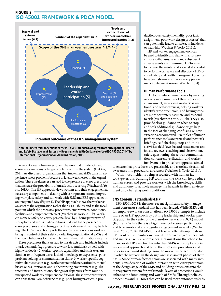# **FIGURE 2 ISO 45001 FRAMEWORK & PDCA MODEL**





A recent view of human error emphasizes that unsafe acts and errors are symptoms of larger problems within the system (Dekker, 2014). As discussed, organizations that implement SMSs can still experience safety problems because of latent weaknesses in the organization. These weaknesses can lead to the presence of error precursors that increase the probability of unsafe acts occurring (Wachter & Yorio, 2013b). The HP approach views workers and their engagement as necessary components to dealing with error precursors and improving workplace safety and can work with SMS and BBS approaches in an integrated way (Figure 1). The HP approach views the worker as an asset to the organization rather than as a liability and as the focal point in which the processes, procedures, environment, conditions, facilities and equipment intersect (Wachter & Yorio, 2013b). Workers manage safety on a very personal level by 1. being perceptive of workplace and individual conditions that lead to the presence of error precursors and 2. being perceptive of defenses that may be failing. The HP approach supports the notion of autonomous workers being in control of their safety by adapting organizational SMSs and their own behaviors to that which their individual situations require.

Error precursors that can lead to unsafe acts and incidents include 1. task demands (e.g., pressure to work fast, multitask or deal with high workloads); 2. worker-specific capabilities and skills (e.g., unfamiliar or infrequent tasks, lack of knowledge or experience, poor problem-solving or communication skills); 3. worker-specific cognitive characteristics (e.g., worker overconfidence, attitudes, mental biases or assumptions); and 4. the working environment (e.g., distractions and interruptions, changes or departures from routine, unexpected work or equipment conditions). These error precursors can arise from SMS deficiencies (e.g., poor hiring practices, a production-over-safety mentality, poor task assignment, poor work design processes) that can potentially lead to unsafe acts, incidents or near-hits (Wachter & Yorio, 2013b).

HP and worker engagement tools can be used to identify and deal with error precursors so that unsafe acts and subsequent adverse events are minimized. HP tools aim to increase the mental and social skills needed to perform work safely and effectively. HP-focused safety and health management practices have been shown to improve safety performance outcomes (Yorio & Wachter, 2014).

## **Human Performance Tools**

HP tools reduce human error by making workers more mindful of their work and environment, increasing workers' situational and self-awareness, helping workers identify error precursors, and having workers more accurately estimate and respond to risk (Wachter & Yorio, 2013b). They also provide clear guidance on when to stop and seek additional guidance or get help in the face of changing, confusing or new situations encountered. Examples of human performance tools are pretask and posttask briefings, self-checking, stop-and-think activities, field-level hazard assessments and jobsite reviews, coaching and observation, safety questioning, three-way communication, concurrent verification, and worker involvement in procedure appraisal aimed

to ensure that procedures are practicable and translate situational awareness into procedural awareness (Wachter & Yorio, 2013b).

With most incidents being associated with human factor-type errors, building HP tools into the SMS can help reduce human errors and provide workers with the knowledge, skills and autonomy to actively manage the hazards in their environment and changing work conditions.

## **SMS Consensus Standards & HP**

ISO 45001:2018 is the most recent significant safety management consensus standard that has been issued. While SMSs call for employee/worker consultation, ISO 45001 attempts to include more of an HP approach by putting leadership and worker participation in the center of the plan-do-check-act (PDCA) model (Figure 2). While there is a big difference between participation and true emotional and cognitive engagement in safety (Wachter & Yorio, 2014), ISO 45001 is at least a better attempt to draw SMSs out of the boardroom toward the "sharp edge" of incidents and injuries like BBS approaches. Organizations that choose to incorporate HP even further into their SMSs will adopt a worker-centered approach and build their policies, procedures and processes outward starting from the worker interface. They also involve the workers in the design and assessment phases of their SMSs. Since human factors errors are associated with many incidents, consideration of worker interaction with error precursors at the design stage of the SMS and building provisions into the management system for multimodal layers of protections would enhance the functioning and worth of SMSs. Through policies, procedures and HP tools that can be used more autonomously by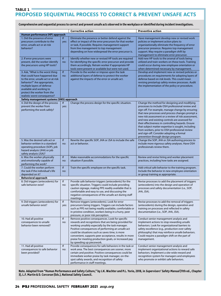# **TABLE 1 PROPOSED SEQUENTIAL PROCESS TO CORRECT & PREVENT UNSAFE ACTS**

| Human performance (HP) approach                                                                                                                                                                                                                                 |            | <b>Corrective action</b>                                                                                                                                                                                                                                                                                                                                                                                           | <b>Preventive action</b>                                                                                                                                                                                                                                                                                                                                                                                                                                                                                                                                          |
|-----------------------------------------------------------------------------------------------------------------------------------------------------------------------------------------------------------------------------------------------------------------|------------|--------------------------------------------------------------------------------------------------------------------------------------------------------------------------------------------------------------------------------------------------------------------------------------------------------------------------------------------------------------------------------------------------------------------|-------------------------------------------------------------------------------------------------------------------------------------------------------------------------------------------------------------------------------------------------------------------------------------------------------------------------------------------------------------------------------------------------------------------------------------------------------------------------------------------------------------------------------------------------------------------|
| 1. Did the presence of error<br>precursors contribute to the<br>error, unsafe act or at-risk<br>behavior?                                                                                                                                                       | lf<br>yes: | Eliminate the presence or better defend against the<br>effect or impact of the error precursors for that worker<br>or task, if possible. Requires management support<br>from line management to top management<br>depending on how widespread the error precursor is.                                                                                                                                              | Have management develop new or revised work<br>policies or implement action plans to<br>organizationally eliminate the frequency of error<br>precursor presence. Requires top management<br>support. May require a paradigm shift by<br>management to eliminate error precursor.                                                                                                                                                                                                                                                                                  |
| 2. If error precursors were<br>present, did the worker identify<br>the precursors using HP tools?                                                                                                                                                               | If<br>no:  | Identify whether new or revised HP tools are required<br>for identifying the specific error precursor and provide<br>them accordingly. Retrain worker if appropriate HP<br>tools were present or available but were not used.                                                                                                                                                                                      | Add new HP tools to the arsenal of tools being<br>utilized and train workers on these tools. Training<br>could occur during new employee orientation or<br>when determined necessary by management.                                                                                                                                                                                                                                                                                                                                                               |
| 3. Ask, "What is the worst thing<br>that could have happened due<br>to the error, unsafe act or at-risk<br>behavior?" Are appropriate,<br>multiple layers of defense<br>available and working to<br>protect the worker from the<br>realistic worst consequence? | If<br>no:  | Provide to the worker or impose upon the task<br>additional layers of defense to protect the worker<br>against the impacts of the error or unsafe act.                                                                                                                                                                                                                                                             | Develop and implement new or revised policies or<br>procedures on requirements for adopting layers of<br>defense based on risk levels. This could mean<br>revising prestartup safety review processes. Audit<br>the implementation of the policy or procedure.                                                                                                                                                                                                                                                                                                    |
| Safety management systems (SMS) approach                                                                                                                                                                                                                        |            |                                                                                                                                                                                                                                                                                                                                                                                                                    |                                                                                                                                                                                                                                                                                                                                                                                                                                                                                                                                                                   |
| 4. Did the design of the process<br>prevent the worker from<br>performing the work safely?                                                                                                                                                                      | If<br>yes: | Change the process design for the specific situation.                                                                                                                                                                                                                                                                                                                                                              | Change the method for designing and modifying<br>processes to include OSH professional review and<br>sign-off. For example, manage change by ensuring<br>that new processes and process changes prompt a<br>new risk assessment or a review of risk assessment,<br>and new and existing controls are assessed for<br>their effectiveness in controlling hazards. Ensure<br>that subject matter expertise is sought, including<br>from workers, prior to OSH professional review<br>and sign-off. Consider adopting a formal<br>prevention through design program. |
| 5. Was the desired safe act or<br>behavior written in a standard<br>operating procedure (SOP), job<br>hazard analysis (JHA) or job<br>safety analysis (JSA)?                                                                                                    | If<br>no:  | Rewrite the specific SOP, JHA or JSA to include the safe<br>act or behavior.                                                                                                                                                                                                                                                                                                                                       | Change the SOP, JHA or JSA authoring process to<br>include more rigorous safety analyses. Have OSH<br>professionals review them.                                                                                                                                                                                                                                                                                                                                                                                                                                  |
| 6. Was the worker physically<br>and emotionally capable of<br>performing the work?                                                                                                                                                                              | If<br>no:  | Make reasonable accommodations for the specific<br>situation if possible.                                                                                                                                                                                                                                                                                                                                          | Review and revise hiring and worker placement<br>practices, including how tasks are assigned.                                                                                                                                                                                                                                                                                                                                                                                                                                                                     |
| 7. Could the worker perform<br>the task if the individual's life<br>depended on it?                                                                                                                                                                             | If<br>no:  | Train the specific employee on the specific task.                                                                                                                                                                                                                                                                                                                                                                  | Add critical safe behavior to the training program.<br>Include the behavior in new employee orientation<br>or group training as appropriate.                                                                                                                                                                                                                                                                                                                                                                                                                      |
| <b>Behavioral approach</b>                                                                                                                                                                                                                                      |            |                                                                                                                                                                                                                                                                                                                                                                                                                    |                                                                                                                                                                                                                                                                                                                                                                                                                                                                                                                                                                   |
| 8. Did triggers (antecedents) for<br>safe behavior exist?                                                                                                                                                                                                       | If<br>no:  | Provide safe behavior triggers (antecedents) for the<br>specific situation. Triggers could include providing<br>caution signage, making PPE readily available that is<br>comfortable and easy to use, and discussing the<br>negative consequences of the unsafe act during staff<br>meetings.                                                                                                                      | Revise processes to add the placement of triggers<br>(antecedents) into the design and operation of<br>processes and safety documentation (i.e., SOP,<br>JHA, JSA).                                                                                                                                                                                                                                                                                                                                                                                               |
| 9. Did triggers (antecedents) for<br>unsafe behavior exist?                                                                                                                                                                                                     | f <br>yes: | Remove triggers (antecedents). Look for error<br>precursors being triggers. Triggers can include factors<br>such as PPE not being readily available, comfortable or<br>in pristine condition, workers being in a hurry, peer<br>pressure, or poor risk perception.                                                                                                                                                 | Revise processes to add the removal of triggers<br>(antecedents) during the design, operation and<br>training on processes and reflected in safety<br>documentation (i.e., SOP, JHA, JSA).                                                                                                                                                                                                                                                                                                                                                                        |
| 10. Had all positive<br>consequences to unsafe<br>behavior been removed?                                                                                                                                                                                        | If<br>no:  | Remove positive consequences. Look for specific<br>rewards and recognitions that are being provided for<br>working unsafely especially by the task manager.<br>Positive consequences of performing an unsafe act<br>could be situations such as saves time, is more<br>convenient, supports peer acceptance, results in more<br>praise for meeting production goals, or increased pay<br>by speeding up piecework. | Conduct senior management analysis and<br>implement actions to stop rewarding unsafe<br>behaviors. Look for organizational barriers to<br>safety excellence (e.g., production over safety<br>philosophy) that may reinforce unsafe behaviors.<br>Could require a paradigm shift on the part of<br>management.                                                                                                                                                                                                                                                     |
| 11. Had all positive<br>consequences to safe behavior<br>been provided?                                                                                                                                                                                         | If<br>no:  | Provide consequences for safe behaviors in the task or<br>work area. The best consequences are sooner, more<br>certain and positive. Positive consequences could be<br>immediate worker praise by task manager, on-the-<br>spot safety awards, and recognition of safety<br>performance in staff meetings.                                                                                                         | Conduct senior management analysis and<br>implement organizational actions to reward safe<br>behaviors. Implement a site-wide reward and<br>recognition system for managers and employees<br>who promote or exhibit safe behaviors.                                                                                                                                                                                                                                                                                                                               |

**Comprehensive and sequential process to correct and prevent unsafe acts observed in the workplace or identified during incident investigations.**

**Note. Adapted from "Human Performance and Safety Culture," by J.K. Wachter and P.L. Yorio, 2018, in Supervisors' Safety Manual (11th ed., Chapter 3), L.F. Martin & D. Corcoran (Eds.), National Safety Council.**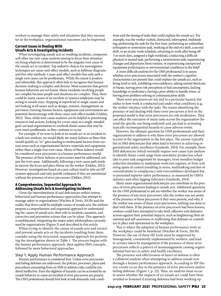workers to manage their safety and situations that they encounter in the workplace, organizational outcomes can be improved.

# **Current Issues in Dealing With Unsafe Acts & Investigating Incidents**

When investigating unsafe acts or resulting incidents, companies will often use root-cause analysis aiming to focus their attention on fixing whatever is determined to be the singular root cause of the unsafe act or incident. Top industry choices for investigation techniques are cause-and-effect models, such as fishbone diagrams and five-why methods. Cause-and-effect models that only seek a single root cause can be problematic. While the intent is positive and admirable, this approach often fails to recognize that human decision-making is complex and diverse. Most scenarios that govern human behaviors are not linear. Many incidents involving people are complex because people and situations are complex. Thus, there could be many causes of an incident or reasons employees may be acting in unsafe ways. Stopping at superficial or single causes and not looking at all issues such as design, systems, management, supervision, training, human factors, equipment and environment are potential shortcomings with these cause-and-effect models (Oakley, 2012). Thus, while root-cause analyses can be helpful in prioritizing resources and actions, looking for a root cause as a single-minded goal can lead organizations to overlook distal causes that may be even more problematic as they continue to occur.

For example, if we were to look at an unsafe act or an incident in a fault-tree analysis, we would likely see many failures or flaws that would qualify as "or" gates leading to multicausal factors from various areas such as organizational factors, materials and equipment, rather than a single true root cause. Many of these failures would be considered error precursors in a human performance model. The presence of these failures or precursors must be addressed, not just the root cause. Additionally, following a root-cause path tends to narrow the focus and place blame on the worker (Dekker, 2012). However, investigations based on a just culture tend to take an HP systems approach and only punish violations if they are intentional without the presence of error precursors (Dekker, 2012).

# **A Comprehensive, Sequential Approach to Addressing Unsafe Acts & Investigating Incidents**

Given the interrelatedness of and deficiencies within system, behavioral and human performance approaches that attempt to manage safety in organizations (Wachter & Yorio, 2013b) and the reality that there could be multiple causes of unsafe acts, the authors propose a comprehensive and sequential approach to understanding the causes of unsafe acts, their role in incident causation, and corrective and preventive actions that can be taken. This approach is multifaceted, integrating the major safety philosophies currently used by organizations (Figure 3) and described in this article.

When trying to identify the causes of unsafe acts and correct and prevent unsafe acts or the incidents resulting from them, consider using the structured, sequential approach for performing the investigation shown in Table 1. The process begins with the human performance approach, then applies SMS concepts, followed by more behavioral approaches.

## Step 1: Apply Human Performance Approach

Human performance is considered first. Unless error precursors and failing defenses are addressed, the policies, processes, plans and procedures emanating from an SMS to address risks could be rendered ineffective. Even the slightest of hazards can be activated by an unsafe behavior to cause an incident if error precursors are present. The OSH professional should first look at task demands, task conditions and the timing of tasks that could explain the unsafe act. For example, was the worker rushed, distracted, interrupted, multitasking, performing the task for the first time, performing an unfamiliar, infrequent or nonroutine task, working at the end of a shift, a second shift, or an erratic work schedule, returning to work after being off 3 or more days, assigned a high workload, conducting a difficult physical or mental task, performing a monotonous task, experiencing changes and departures from routine, or experiencing unexpected equipment performance or environmental conditions in the field?

A more difficult analysis for the OSH professional is to assess whether error precursors associated with the worker's cognitive characteristics are present that could explain the unsafe act, such as being tired or sick, exhibiting overconfidence, taking mental shortcuts or biases, having poor risk perception or bad assumptions, lacking knowledge or proficiency, having a poor ability to handle stress, or having poor problem-solving or communication skills.

These error precursors are not tied to a particular hazard, but rather to how work is conducted and under what conditions (e.g., the worker interface with the task). The reason identifying the presence of and dealing with these error precursors is first in the proposed model is that error precursors are risk moderators. They can affect the execution of many tasks across the organization (beyond the specific one being analyzed) and can lead to activating typically inconsequential hazards to cause adverse events.

However, the ultimate question for OSH professionals and their organizations to address is why these error precursors are allowed to exist in the organization in the first place. The answer typically lies in SMS deficiencies that often lead to barriers in achieving organizational safety excellence (Gualardo, 2014). For example, these SMS deficiencies (which normally require root-cause type analysis to identify them) could range from unrealistic production schedules to poor task assignment by managers, from mindless budget reduction mandates to inadequate work/rest regimes, or from widening spans of control (resulting in stress, multitasking and loss of concentration) to complacency and overconfidence developed due to presumed superior safety performance, as measured by OSHA statistics and other lagging indicators (Gualardo, 2014).

Many more organizational deficiencies can contribute to the presence of error precursors leading to unsafe acts. Additional questions for the OSH professional to ask are whether the worker was aware of the presence of any error precursors, why the worker was not aware of the presence of these precursors if they were present, and why, if the worker was aware of these error precursors, nothing was done to deal with them. If the presence of error precursors had been known, workers could have attempted to take both offensive and defensive actions against their potential impacts, such as heightening their situational and self-awareness or reaffirming that defenses or controls are in place and operational in the workplace.

This is where the adoption of human performance tools in the workplace could be beneficial (Wachter & Yorio, 2013b). However, the use of these HP tools must be supported by management, consistently implemented by workers, and lead to actions taken by management if the presence of these error precursors reflects a pattern of mismanagement causing organizational barriers to safety and health excellence.

The presence and effectiveness of layers of defense is often a collateral analysis when attempting to address unsafe acts through a human performance approach. According to HP theory, events occur due to the presence of error precursors and/or failing defenses (Figure 1, p. 22). Thus, an analysis must occur to assess whether the impacts of an unsafe act could have been avoided or lessened if existing defenses had been working op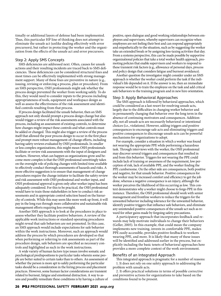timally or additional layers of defense had been implemented. Thus, this particular HP line of thinking does not attempt to eliminate the unsafe act (unlike dealing effectively with error precursors), but rather in protecting the worker and the organization from the effects of the unsafe act and error precursors.

## Step 2: Apply SMS Concepts

SMS deficiencies are addressed next. Often, causes for unsafe actions and their resulting incidents are traced back to SMS deficiencies. These deficiencies can be considered structural fixes and most times can be effectively implemented with strong management support. Many of these fixes are preventive in nature (e.g., issuing, revising or enforcing a process, plan or procedure). From an SMS perspective, OSH professionals might ask whether the process design prevented the worker from working safely. To do this, they would need to consider inputs to the process including appropriateness of tools, equipment and workspace design as well as assess the effectiveness of the risk assessment and identified controls resulting from that process.

If process design facilitated the unsafe behavior, then an SMS approach not only should prompt a process design change but also would trigger a review of the risk assessments associated with the process, including an assessment of existing controls, to determine how changes might impact these controls and what controls must be added or changed. This might also trigger a review of the process itself that allowed the poor process design to occur in the first place and prompt more robust management-of-change efforts, including having safety reviews evaluated by OSH professionals. In smaller or less complex organizations, this might mean OSH professionals facilitate or review risk assessments with the input of designers and workers. However, what can happen as organizations grow and become more complex is that the OSH professional unwittingly takes on the oversight role of policing changes with limited time available to effectively conduct thorough assessments of hazards and risks. A more effective suggestion is to ensure that management-of-change procedures require the change initiator to facilitate the safety review and risk assessment with OSH professional and worker input, and OSH professional approval is given only after worker input has been adequately considered. For this to be practical, the OSH professional would have to train those stakeholders in how to conduct risk assessments and in appropriate control selection based on the hierarchy of controls. While this may seem like more work up front, it will pay in the long run through more collaborative and sustainable risk management efforts requiring less oversight.

Another SMS approach is to look at the procedures in place to assess whether they facilitate positive behaviors. A review of the applicable work instructions or standard operating procedures might reveal that safe behaviors are not promoted. In this case, an SMS approach would include expectations for safe behavior within the work instructions. Moreover, such an approach would address the process by which procedures are developed so that when performing or referring to risk assessments as part of the procedure design, safe behaviors are specified as necessary controls and highlighted as such in the work instructions.

A wide variety of human factors type issues involve somatic and psychological predispositions to particular tasks wherein some people are better suited to certain tasks than to others. An assessment of whether the person is more apt to safely performing the particular tasks should be a consideration in the hiring process and placement practices. However, some human factor considerations are transient related to burnout, fatigue and emotional distraction. A way to assess and possibly remediate these conditions is by having a culture of positive, open dialogue and good working relationships between employees and supervisors, whereby supervisors can recognize when employees are not feeling their best and can respond appropriately and empathetically to the situation, such as by suggesting the worker take an extended break or by assigning less-taxing activities that day. From a systems perspective, this can be made possible by supportive organizational policies that take a total worker health approach, promoting policies that enable supervisors and workers to respond to these transient risk factors (e.g., allowance of personal days, process and policy design that considers fatigue and burnout avoidance).

Another question the investigator might consider under an SMS approach is whether the worker could perform the task if the individual's life depended on it. If the answer is no, then an immediate response would be to train the employee on the task and add critical safe behaviors to the training program and in new hire orientation.

## Step 3: Apply Behavioral Approaches

The SMS approach is followed by behavioral approaches, which could be considered as a last resort for resolving unsafe acts, largely due to the difficulties in changing worker behavior and in permanently changing that behavior over the long term in the absence of continuing motivators and consequences. Additionally, not all unsafe acts are necessarily behavioral or intentional choices (i.e., violations). However, adding triggers and positive consequences to encourage safe acts and eliminating triggers and positive consequences to discourage unsafe acts can be powerful mechanisms for organizations to adopt.

For example, consider a situation in which a worker was found not wearing the appropriate PPE while performing a hazardous task. Through interviews with the worker, the OSH professional may discover several triggers and consequences that resulted in and from this behavior. Triggers for not wearing the PPE could include lack of training or awareness of the requirement, low perception of risk, lack of available PPE, and the worker finding the PPE cumbersome. On the other side are consequences, both positive and negative, for that unsafe behavior. Positive consequences for the worker may be increased comfort and efficiency to get the job done, whereas a negative consequence is an injury, although the worker perceives the likelihood of this occurring as low. This context demonstrates why a worker might choose to forgo PPE in this instance. Therefore, the OSH professional should work with senior management and frontline workers to reduce the triggers for the unwanted behavior including tolerance for the unwanted behavior, identify positive triggers that influence safe behaviors, and eliminate any unintended positive consequences of the unsafe act such as reward for other gains made by forgoing safety precautions.

A participatory approach that incorporates feedback and rewards may help motivate individuals to change their behaviors (Geller, 2005). In this example, that could mean the company implements new training, invests in comfortable PPE, makes PPE easily accessible, provides positive feedback to workers wearing PPE, and more. It is likely that many of these issues will be identified and addressed earlier in the process, but explicitly including the basic tenets of behavioral approaches here provides a more complete context of the work environment.

## Benefits of an Integrated Approach

This integrated approach is pragmatic for a number of reasons: 1. It does not rely on one safety approach to addressing the problem with unsafe acts.

2. It offers practical solutions in terms of possible corrective and preventive actions for organizations to take based on the conditions found to be present.